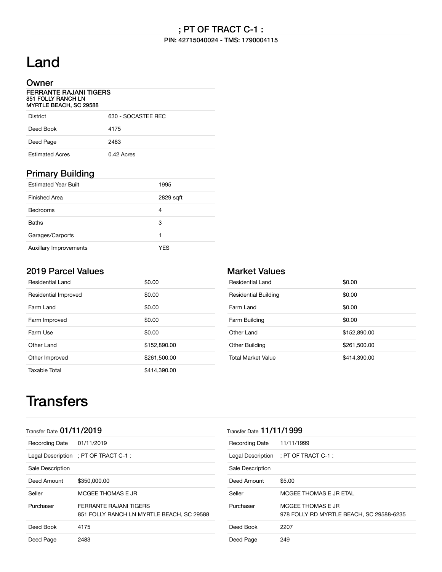#### PIN: 42715040024 - TMS: 1790004115

# Land

### **Owner**

| <b>FERRANTE RAJANI TIGERS</b><br>851 FOLLY RANCH LN<br><b>MYRTLE BEACH, SC 29588</b> |                    |  |
|--------------------------------------------------------------------------------------|--------------------|--|
| <b>District</b>                                                                      | 630 - SOCASTEE REC |  |
| Deed Book                                                                            | 4175               |  |
| Deed Page                                                                            | 2483               |  |

Estimated Acres 0.42 Acres

### Primary Building

| <b>Estimated Year Built</b>   | 1995      |
|-------------------------------|-----------|
| Finished Area                 | 2829 sqft |
| <b>Bedrooms</b>               | 4         |
| <b>Baths</b>                  | 3         |
| Garages/Carports              |           |
| <b>Auxillary Improvements</b> | YES       |

### 2019 Parcel Values

| <b>Residential Land</b> | \$0.00       |
|-------------------------|--------------|
| Residential Improved    | \$0.00       |
| Farm Land               | \$0.00       |
| Farm Improved           | \$0.00       |
| Farm Use                | \$0.00       |
| Other Land              | \$152,890.00 |
| Other Improved          | \$261,500.00 |
| Taxable Total           | \$414,390.00 |

### Market Values

| Residential Land          | \$0.00       |
|---------------------------|--------------|
| Residential Building      | \$0.00       |
| Farm Land                 | \$0.00       |
| Farm Building             | \$0.00       |
| Other Land                | \$152,890.00 |
| Other Building            | \$261,500.00 |
| <b>Total Market Value</b> | \$414,390.00 |

## **Transfers**

| Transfer Date 01/11/2019  |                                                                     |
|---------------------------|---------------------------------------------------------------------|
| Recording Date 01/11/2019 |                                                                     |
|                           | Legal Description ; PT OF TRACT C-1 :                               |
| Sale Description          |                                                                     |
| Deed Amount               | \$350,000.00                                                        |
| Seller                    | MCGEE THOMAS E JR                                                   |
| Purchaser                 | FERRANTE RAJANI TIGERS<br>851 FOLLY RANCH LN MYRTLE BEACH, SC 29588 |
| Deed Book                 | 4175                                                                |
| Deed Page                 | 2483                                                                |
|                           |                                                                     |

| Transfer Date $11/11/1999$ |                                                               |  |
|----------------------------|---------------------------------------------------------------|--|
| <b>Recording Date</b>      | 11/11/1999                                                    |  |
|                            | Legal Description ; PT OF TRACT C-1 :                         |  |
| Sale Description           |                                                               |  |
| Deed Amount                | \$5.00                                                        |  |
| Seller                     | MCGEE THOMAS E JR ETAL                                        |  |
| Purchaser                  | MCGFF THOMAS F JR<br>978 FOLLY RD MYRTLE BEACH, SC 29588-6235 |  |
| Deed Book                  | 2207                                                          |  |
| Deed Page                  | 249                                                           |  |
|                            |                                                               |  |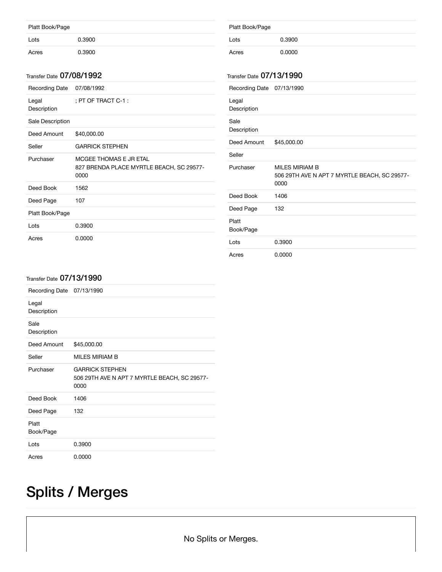| Platt Book/Page |        |  |
|-----------------|--------|--|
| Lots            | 0.3900 |  |
| Acres           | 0.3900 |  |

#### Transfer Date 07/08/1992

| Recording Date       | 07/08/1992                                                                 |
|----------------------|----------------------------------------------------------------------------|
| Legal<br>Description | : PT OF TRACT C-1 :                                                        |
| Sale Description     |                                                                            |
| Deed Amount          | \$40,000.00                                                                |
| Seller               | <b>GARRICK STEPHEN</b>                                                     |
| Purchaser            | MCGEE THOMAS E JR ETAL<br>827 BRENDA PLACE MYRTLE BEACH, SC 29577-<br>0000 |
| Deed Book            | 1562                                                                       |
| Deed Page            | 107                                                                        |
| Platt Book/Page      |                                                                            |
| Lots                 | 0.3900                                                                     |
| Acres                | 0.0000                                                                     |

| Platt Book/Page          |                                                                        |
|--------------------------|------------------------------------------------------------------------|
| Lots                     | 0.3900                                                                 |
| Acres                    | 0.0000                                                                 |
| Transfer Date 07/13/1990 |                                                                        |
| Recording Date           | 07/13/1990                                                             |
| Legal<br>Description     |                                                                        |
| Sale<br>Description      |                                                                        |
| Deed Amount              | \$45,000.00                                                            |
| Seller                   |                                                                        |
| Purchaser                | MILES MIRIAM B<br>506 29TH AVE N APT 7 MYRTLE BEACH, SC 29577-<br>0000 |
| Deed Book                | 1406                                                                   |
| Deed Page                | 132                                                                    |
| Platt<br>Book/Page       |                                                                        |
| Lots                     | 0.3900                                                                 |
| Acres                    | 0.0000                                                                 |

#### Transfer Date 07/13/1990

| Recording Date 07/13/1990 |                                                                                |
|---------------------------|--------------------------------------------------------------------------------|
| Legal<br>Description      |                                                                                |
| Sale<br>Description       |                                                                                |
| Deed Amount               | \$45,000.00                                                                    |
| Seller                    | MILES MIRIAM B                                                                 |
| Purchaser                 | <b>GARRICK STEPHEN</b><br>506 29TH AVE N APT 7 MYRTLE BEACH, SC 29577-<br>0000 |
| Deed Book                 | 1406                                                                           |
| Deed Page                 | 132                                                                            |
| Platt<br>Book/Page        |                                                                                |
| Lots                      | 0.3900                                                                         |
| Acres                     | 0.0000                                                                         |

# Splits / Merges